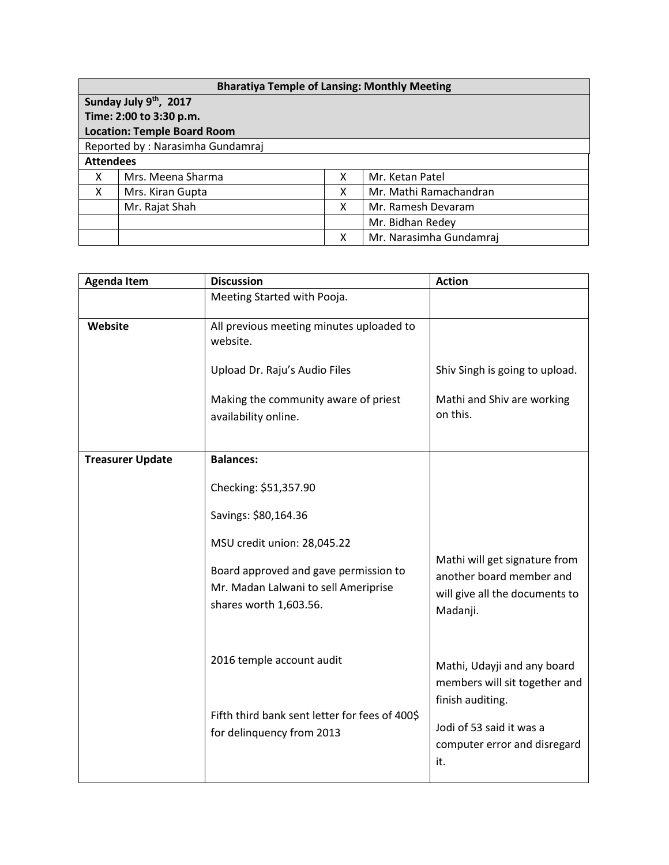| <b>Bharatiya Temple of Lansing: Monthly Meeting</b> |                         |   |                         |  |
|-----------------------------------------------------|-------------------------|---|-------------------------|--|
| Sunday July 9th, 2017                               |                         |   |                         |  |
|                                                     | Time: 2:00 to 3:30 p.m. |   |                         |  |
| <b>Location: Temple Board Room</b>                  |                         |   |                         |  |
| Reported by: Narasimha Gundamraj                    |                         |   |                         |  |
| <b>Attendees</b>                                    |                         |   |                         |  |
| X                                                   | Mrs. Meena Sharma       | x | Mr. Ketan Patel         |  |
| X                                                   | Mrs. Kiran Gupta        | X | Mr. Mathi Ramachandran  |  |
|                                                     | Mr. Rajat Shah          | X | Mr. Ramesh Devaram      |  |
|                                                     |                         |   | Mr. Bidhan Redey        |  |
|                                                     |                         | x | Mr. Narasimha Gundamraj |  |

| <b>Agenda Item</b>      | <b>Discussion</b>                                                                                       | <b>Action</b>                                                                                           |
|-------------------------|---------------------------------------------------------------------------------------------------------|---------------------------------------------------------------------------------------------------------|
|                         | Meeting Started with Pooja.                                                                             |                                                                                                         |
| Website                 | All previous meeting minutes uploaded to<br>website.                                                    |                                                                                                         |
|                         | Upload Dr. Raju's Audio Files                                                                           | Shiv Singh is going to upload.                                                                          |
|                         | Making the community aware of priest<br>availability online.                                            | Mathi and Shiv are working<br>on this.                                                                  |
| <b>Treasurer Update</b> | <b>Balances:</b>                                                                                        |                                                                                                         |
|                         | Checking: \$51,357.90                                                                                   |                                                                                                         |
|                         | Savings: \$80,164.36                                                                                    |                                                                                                         |
|                         | MSU credit union: 28,045.22                                                                             |                                                                                                         |
|                         | Board approved and gave permission to<br>Mr. Madan Lalwani to sell Ameriprise<br>shares worth 1,603.56. | Mathi will get signature from<br>another board member and<br>will give all the documents to<br>Madanji. |
|                         | 2016 temple account audit                                                                               | Mathi, Udayji and any board<br>members will sit together and                                            |
|                         | Fifth third bank sent letter for fees of 400\$<br>for delinquency from 2013                             | finish auditing.<br>Jodi of 53 said it was a<br>computer error and disregard<br>it.                     |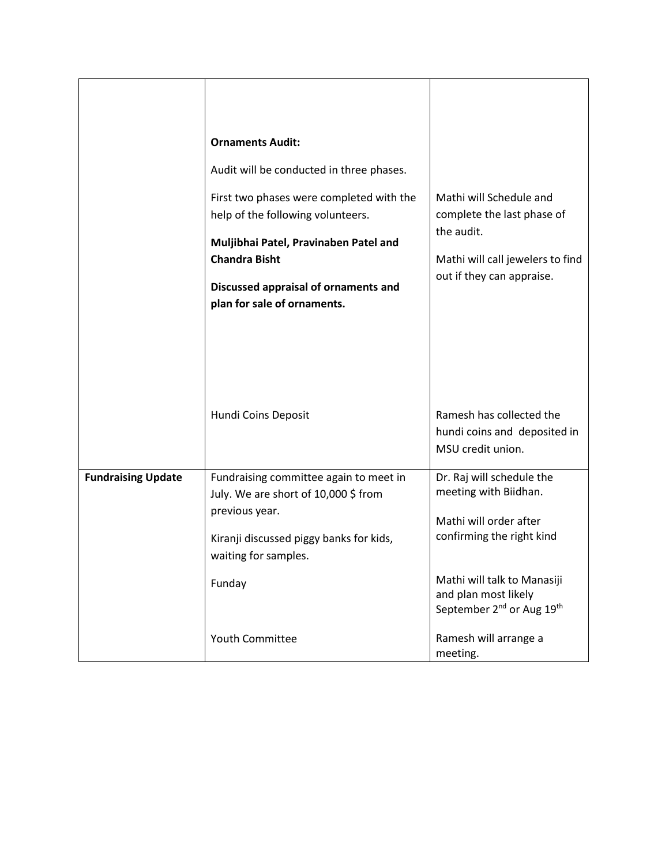|                           | <b>Ornaments Audit:</b>                                                        |                                                                                                          |
|---------------------------|--------------------------------------------------------------------------------|----------------------------------------------------------------------------------------------------------|
|                           | Audit will be conducted in three phases.                                       |                                                                                                          |
|                           | First two phases were completed with the<br>help of the following volunteers.  | Mathi will Schedule and<br>complete the last phase of                                                    |
|                           | Muljibhai Patel, Pravinaben Patel and                                          | the audit.                                                                                               |
|                           | <b>Chandra Bisht</b>                                                           | Mathi will call jewelers to find                                                                         |
|                           | Discussed appraisal of ornaments and<br>plan for sale of ornaments.            | out if they can appraise.                                                                                |
|                           |                                                                                |                                                                                                          |
|                           | Hundi Coins Deposit                                                            | Ramesh has collected the                                                                                 |
|                           |                                                                                | hundi coins and deposited in<br>MSU credit union.                                                        |
|                           |                                                                                |                                                                                                          |
| <b>Fundraising Update</b> | Fundraising committee again to meet in<br>July. We are short of 10,000 \$ from | Dr. Raj will schedule the<br>meeting with Biidhan.                                                       |
|                           | previous year.                                                                 | Mathi will order after                                                                                   |
|                           | Kiranji discussed piggy banks for kids,<br>waiting for samples.                | confirming the right kind                                                                                |
|                           | Funday                                                                         | Mathi will talk to Manasiji<br>and plan most likely<br>September 2 <sup>nd</sup> or Aug 19 <sup>th</sup> |
|                           | <b>Youth Committee</b>                                                         | Ramesh will arrange a<br>meeting.                                                                        |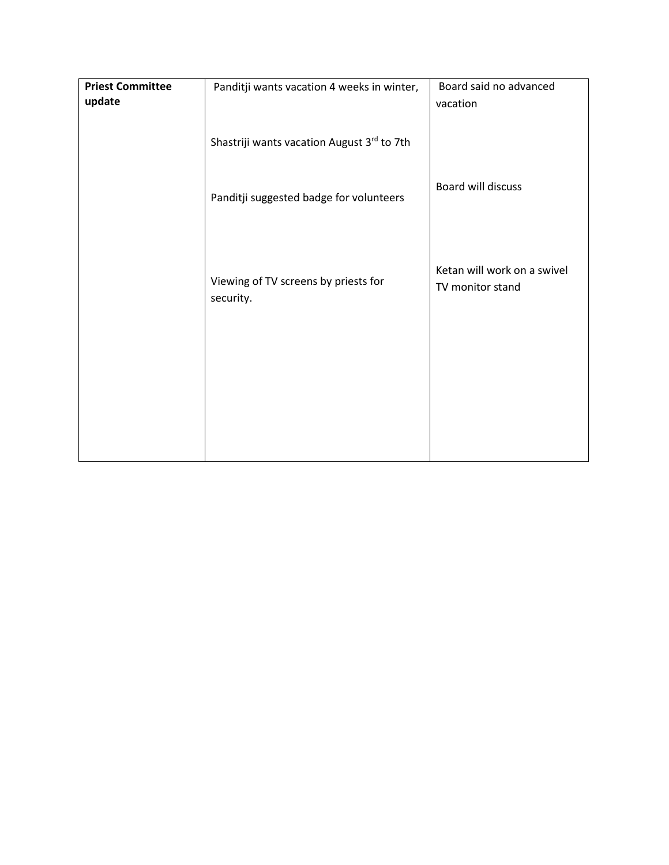| <b>Priest Committee</b> | Panditji wants vacation 4 weeks in winter, | Board said no advanced      |
|-------------------------|--------------------------------------------|-----------------------------|
| update                  |                                            | vacation                    |
|                         |                                            |                             |
|                         |                                            |                             |
|                         | Shastriji wants vacation August 3rd to 7th |                             |
|                         |                                            |                             |
|                         |                                            |                             |
|                         |                                            |                             |
|                         |                                            | Board will discuss          |
|                         | Panditji suggested badge for volunteers    |                             |
|                         |                                            |                             |
|                         |                                            |                             |
|                         |                                            |                             |
|                         |                                            |                             |
|                         |                                            |                             |
|                         | Viewing of TV screens by priests for       | Ketan will work on a swivel |
|                         |                                            | TV monitor stand            |
|                         | security.                                  |                             |
|                         |                                            |                             |
|                         |                                            |                             |
|                         |                                            |                             |
|                         |                                            |                             |
|                         |                                            |                             |
|                         |                                            |                             |
|                         |                                            |                             |
|                         |                                            |                             |
|                         |                                            |                             |
|                         |                                            |                             |
|                         |                                            |                             |
|                         |                                            |                             |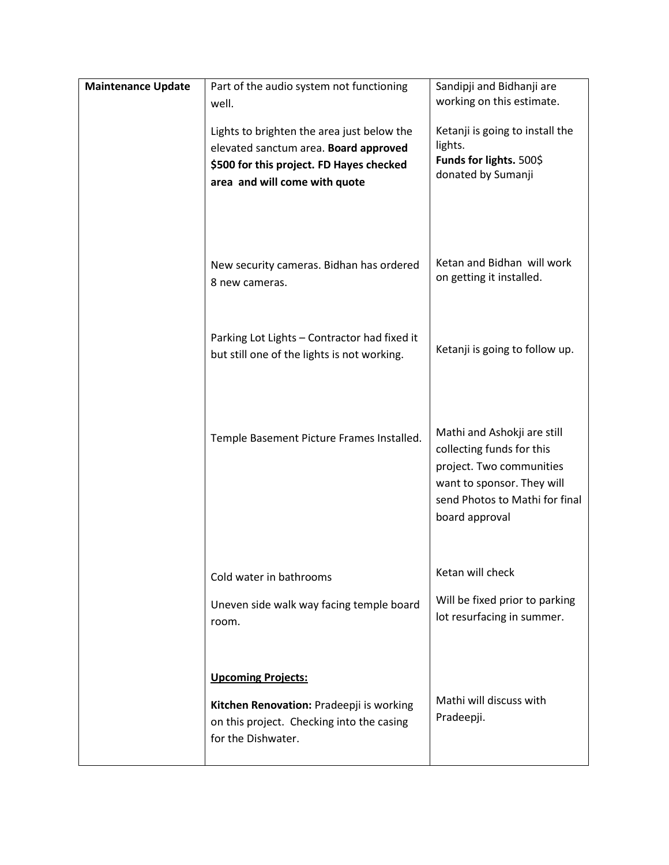| <b>Maintenance Update</b> | Part of the audio system not functioning                        | Sandipji and Bidhanji are                                |
|---------------------------|-----------------------------------------------------------------|----------------------------------------------------------|
|                           | well.                                                           | working on this estimate.                                |
|                           | Lights to brighten the area just below the                      | Ketanji is going to install the                          |
|                           | elevated sanctum area. Board approved                           | lights.                                                  |
|                           | \$500 for this project. FD Hayes checked                        | Funds for lights. 500\$<br>donated by Sumanji            |
|                           | area and will come with quote                                   |                                                          |
|                           |                                                                 |                                                          |
|                           | New security cameras. Bidhan has ordered                        | Ketan and Bidhan will work                               |
|                           | 8 new cameras.                                                  | on getting it installed.                                 |
|                           |                                                                 |                                                          |
|                           | Parking Lot Lights - Contractor had fixed it                    |                                                          |
|                           | but still one of the lights is not working.                     | Ketanji is going to follow up.                           |
|                           |                                                                 |                                                          |
|                           |                                                                 |                                                          |
|                           | Temple Basement Picture Frames Installed.                       | Mathi and Ashokji are still<br>collecting funds for this |
|                           |                                                                 | project. Two communities                                 |
|                           |                                                                 | want to sponsor. They will                               |
|                           |                                                                 | send Photos to Mathi for final                           |
|                           |                                                                 | board approval                                           |
|                           |                                                                 |                                                          |
|                           | Cold water in bathrooms                                         | Ketan will check                                         |
|                           | Uneven side walk way facing temple board                        | Will be fixed prior to parking                           |
|                           | room.                                                           | lot resurfacing in summer.                               |
|                           |                                                                 |                                                          |
|                           |                                                                 |                                                          |
|                           | <b>Upcoming Projects:</b>                                       |                                                          |
|                           | Kitchen Renovation: Pradeepji is working                        | Mathi will discuss with<br>Pradeepji.                    |
|                           | on this project. Checking into the casing<br>for the Dishwater. |                                                          |
|                           |                                                                 |                                                          |